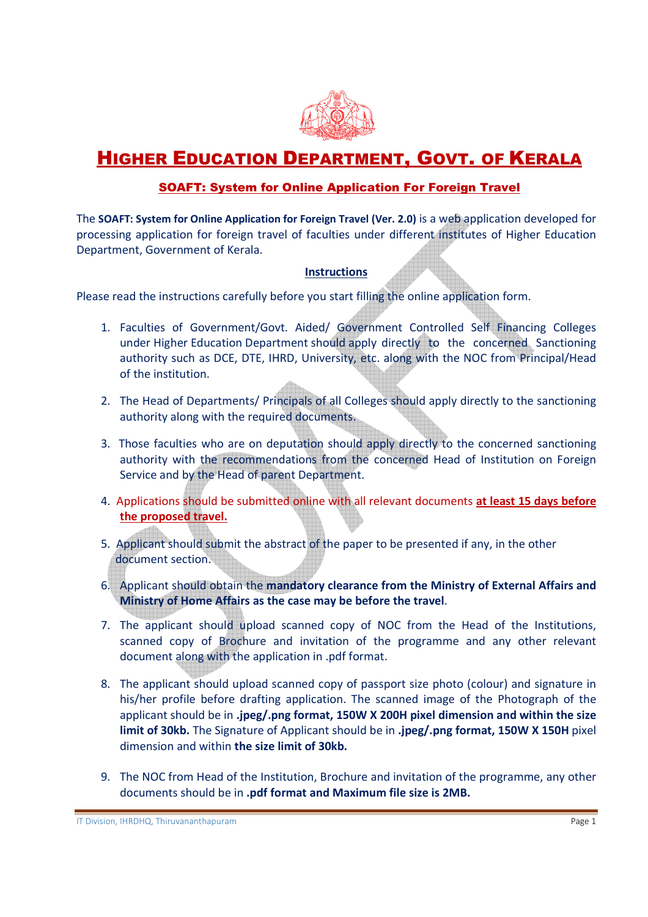

## **HIGHER EDUCATION DEPARTMENT, GOVT. OF KERALA**

## SOAFT: System for Online Application For Foreign Travel

The SOAFT: System for Online Application for Foreign Travel (Ver. 2.0) is a web application developed for processing application for foreign travel of faculties under different institutes of Higher Education Department, Government of Kerala.

## **Instructions**

Please read the instructions carefully before you start filling the online application form.

- 1. Faculties of Government/Govt. Aided/ Government Controlled Self Financing Colleges under Higher Education Department should apply directly to the concerned Sanctioning authority such as DCE, DTE, IHRD, University, etc. along with the NOC from Principal/Head of the institution.
- 2. The Head of Departments/ Principals of all Colleges should apply directly to the sanctioning authority along with the required documents.
- 3. Those faculties who are on deputation should apply directly to the concerned sanctioning authority with the recommendations from the concerned Head of Institution on Foreign Service and by the Head of parent Department.
- 4. Applications should be submitted online with all relevant documents at least 15 days before the proposed travel.
- 5. Applicant should submit the abstract of the paper to be presented if any, in the other document section.
- 6. Applicant should obtain the mandatory clearance from the Ministry of External Affairs and Ministry of Home Affairs as the case may be before the travel.
- 7. The applicant should upload scanned copy of NOC from the Head of the Institutions, scanned copy of Brochure and invitation of the programme and any other relevant document along with the application in .pdf format.
- 8. The applicant should upload scanned copy of passport size photo (colour) and signature in his/her profile before drafting application. The scanned image of the Photograph of the applicant should be in .jpeg/.png format, 150W X 200H pixel dimension and within the size limit of 30kb. The Signature of Applicant should be in .jpeg/.png format, 150W X 150H pixel dimension and within the size limit of 30kb.
- 9. The NOC from Head of the Institution, Brochure and invitation of the programme, any other documents should be in .pdf format and Maximum file size is 2MB.

IT Division, IHRDHQ, Thiruvananthapuram Page 1